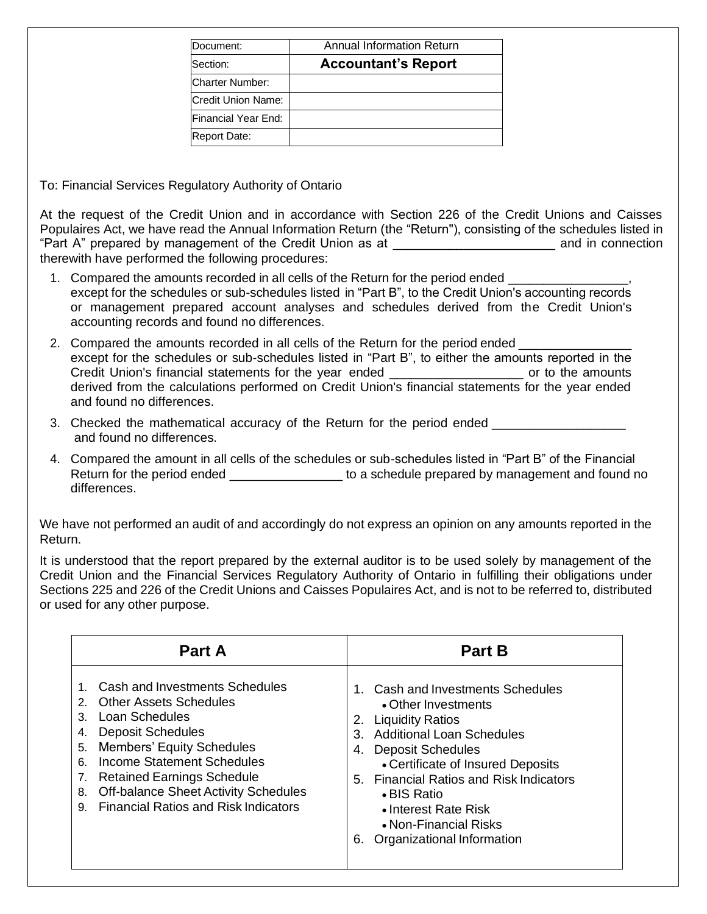| Document:           | Annual Information Return  |  |  |  |  |
|---------------------|----------------------------|--|--|--|--|
| Section:            | <b>Accountant's Report</b> |  |  |  |  |
| Charter Number:     |                            |  |  |  |  |
| Credit Union Name:  |                            |  |  |  |  |
| Financial Year End: |                            |  |  |  |  |
| Report Date:        |                            |  |  |  |  |

To: Financial Services Regulatory Authority of Ontario

At the request of the Credit Union and in accordance with Section 226 of the Credit Unions and Caisses Populaires Act, we have read the Annual Information Return (the "Return"), consisting of the schedules listed in "Part A" prepared by management of the Credit Union as at \_\_\_\_\_\_\_\_\_\_\_\_\_\_\_\_\_\_\_\_\_\_\_\_\_\_\_\_\_\_\_ and in connection therewith have performed the following procedures:

- 1. Compared the amounts recorded in all cells of the Return for the period ended \_\_\_\_\_\_\_\_\_\_\_\_\_\_\_\_\_, except for the schedules or sub-schedules listed in "Part B", to the Credit Union's accounting records or management prepared account analyses and schedules derived from the Credit Union's accounting records and found no differences.
- 2. Compared the amounts recorded in all cells of the Return for the period ended except for the schedules or sub-schedules listed in "Part B", to either the amounts reported in the Credit Union's financial statements for the year ended \_\_\_\_\_\_\_\_\_\_\_\_\_\_\_\_\_\_\_\_\_\_\_\_ or to the amounts derived from the calculations performed on Credit Union's financial statements for the year ended and found no differences.
- 3. Checked the mathematical accuracy of the Return for the period ended \_\_\_\_\_\_\_\_\_ and found no differences.
- 4. Compared the amount in all cells of the schedules or sub-schedules listed in "Part B" of the Financial Return for the period ended entitled the schedule prepared by management and found no differences.

We have not performed an audit of and accordingly do not express an opinion on any amounts reported in the Return.

It is understood that the report prepared by the external auditor is to be used solely by management of the Credit Union and the Financial Services Regulatory Authority of Ontario in fulfilling their obligations under Sections 225 and 226 of the Credit Unions and Caisses Populaires Act, and is not to be referred to, distributed or used for any other purpose.

| <b>Part A</b>                                                                                                                                                                                                                                                                                                                                               | <b>Part B</b>                                                                                                                                                                                                                                                                                                                                             |  |  |  |
|-------------------------------------------------------------------------------------------------------------------------------------------------------------------------------------------------------------------------------------------------------------------------------------------------------------------------------------------------------------|-----------------------------------------------------------------------------------------------------------------------------------------------------------------------------------------------------------------------------------------------------------------------------------------------------------------------------------------------------------|--|--|--|
| Cash and Investments Schedules<br><b>Other Assets Schedules</b><br>2.<br>Loan Schedules<br>3.<br><b>Deposit Schedules</b><br>4.<br><b>Members' Equity Schedules</b><br>5.<br>Income Statement Schedules<br>6.<br><b>Retained Earnings Schedule</b><br>7.<br>Off-balance Sheet Activity Schedules<br>8.<br><b>Financial Ratios and Risk Indicators</b><br>9. | 1. Cash and Investments Schedules<br>• Other Investments<br><b>Liquidity Ratios</b><br>2.<br><b>Additional Loan Schedules</b><br>3.<br><b>Deposit Schedules</b><br>4.<br>• Certificate of Insured Deposits<br>5. Financial Ratios and Risk Indicators<br>• BIS Ratio<br>• Interest Rate Risk<br>• Non-Financial Risks<br>Organizational Information<br>6. |  |  |  |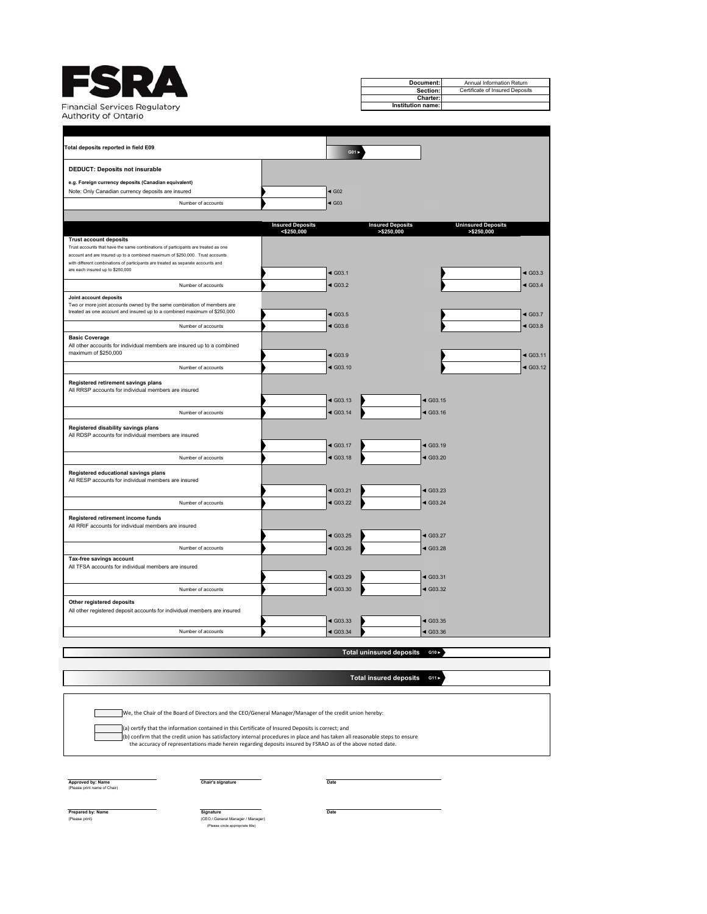|                                                                                                                                                                    |                                          |                        | Document:                             |                        | Annual Information Return                |                        |
|--------------------------------------------------------------------------------------------------------------------------------------------------------------------|------------------------------------------|------------------------|---------------------------------------|------------------------|------------------------------------------|------------------------|
|                                                                                                                                                                    |                                          |                        |                                       | Section:               | Certificate of Insured Deposits          |                        |
|                                                                                                                                                                    |                                          |                        |                                       | Charter:               |                                          |                        |
| inancial Services Regulatory                                                                                                                                       |                                          |                        | Institution name:                     |                        |                                          |                        |
| <b>Authority of Ontario</b>                                                                                                                                        |                                          |                        |                                       |                        |                                          |                        |
|                                                                                                                                                                    |                                          |                        |                                       |                        |                                          |                        |
| Total deposits reported in field E09                                                                                                                               |                                          |                        |                                       |                        |                                          |                        |
|                                                                                                                                                                    |                                          | $GO1 \triangleright$   |                                       |                        |                                          |                        |
| <b>DEDUCT: Deposits not insurable</b>                                                                                                                              |                                          |                        |                                       |                        |                                          |                        |
| e.g. Foreign currency deposits (Canadian equivalent)                                                                                                               |                                          |                        |                                       |                        |                                          |                        |
| Note: Only Canadian currency deposits are insured                                                                                                                  |                                          | $\triangleleft$ G02    |                                       |                        |                                          |                        |
| Number of accounts                                                                                                                                                 |                                          | $\triangleleft$ G03    |                                       |                        |                                          |                        |
|                                                                                                                                                                    |                                          |                        |                                       |                        |                                          |                        |
|                                                                                                                                                                    | <b>Insured Deposits</b><br>$<$ \$250,000 |                        | <b>Insured Deposits</b><br>>\$250,000 |                        | <b>Uninsured Deposits</b><br>> \$250,000 |                        |
| <b>Trust account deposits</b>                                                                                                                                      |                                          |                        |                                       |                        |                                          |                        |
| Trust accounts that have the same combinations of participants are treated as one<br>account and are insured up to a combined maximum of \$250,000. Trust accounts |                                          |                        |                                       |                        |                                          |                        |
| with different combinations of participants are treated as separate accounts and                                                                                   |                                          |                        |                                       |                        |                                          |                        |
| are each insured up to \$250,000                                                                                                                                   |                                          | $\triangleleft$ G03.1  |                                       |                        |                                          | $\triangleleft$ G03.3  |
| Number of accounts                                                                                                                                                 |                                          | $\triangleleft$ G03.2  |                                       |                        |                                          | $\triangleleft$ G03.4  |
| Joint account deposits                                                                                                                                             |                                          |                        |                                       |                        |                                          |                        |
| Two or more joint accounts owned by the same combination of members are                                                                                            |                                          |                        |                                       |                        |                                          |                        |
| treated as one account and insured up to a combined maximum of \$250,000                                                                                           |                                          | $\triangleleft$ G03.5  |                                       |                        |                                          | $\triangleleft$ G03.7  |
| Number of accounts                                                                                                                                                 |                                          | $\triangleleft$ G03.6  |                                       |                        |                                          | $\triangleleft$ G03.8  |
| <b>Basic Coverage</b>                                                                                                                                              |                                          |                        |                                       |                        |                                          |                        |
| All other accounts for individual members are insured up to a combined                                                                                             |                                          |                        |                                       |                        |                                          |                        |
| maximum of \$250,000                                                                                                                                               |                                          | $\triangleleft$ G03.9  |                                       |                        |                                          | $\triangleleft$ G03.11 |
| Number of accounts                                                                                                                                                 |                                          | $\triangleleft$ G03.10 |                                       |                        |                                          | $\triangleleft$ G03.12 |
| Registered retirement savings plans                                                                                                                                |                                          |                        |                                       |                        |                                          |                        |
| All RRSP accounts for individual members are insured                                                                                                               |                                          |                        |                                       |                        |                                          |                        |
|                                                                                                                                                                    |                                          | $\triangleleft$ G03.13 |                                       | $\triangleleft$ G03.15 |                                          |                        |
| Number of accounts                                                                                                                                                 |                                          | $\triangleleft$ G03.14 |                                       | $\triangleleft$ G03.16 |                                          |                        |
|                                                                                                                                                                    |                                          |                        |                                       |                        |                                          |                        |
| Registered disability savings plans<br>All RDSP accounts for individual members are insured                                                                        |                                          |                        |                                       |                        |                                          |                        |
|                                                                                                                                                                    |                                          | $\triangleleft$ G03.17 |                                       | $\triangleleft$ G03.19 |                                          |                        |
| Number of accounts                                                                                                                                                 |                                          | $\triangleleft$ G03.18 |                                       | $\triangleleft$ G03.20 |                                          |                        |
|                                                                                                                                                                    |                                          |                        |                                       |                        |                                          |                        |
| Registered educational savings plans<br>All RESP accounts for individual members are insured                                                                       |                                          |                        |                                       |                        |                                          |                        |
|                                                                                                                                                                    |                                          | $\triangleleft$ G03.21 |                                       | $\triangleleft$ G03.23 |                                          |                        |
| Number of accounts                                                                                                                                                 |                                          | $\triangleleft$ G03.22 |                                       | $\triangleleft$ G03.24 |                                          |                        |
|                                                                                                                                                                    |                                          |                        |                                       |                        |                                          |                        |
| Registered retirement income funds                                                                                                                                 |                                          |                        |                                       |                        |                                          |                        |
| All RRIF accounts for individual members are insured                                                                                                               |                                          | $\triangleleft$ G03.25 |                                       | $\triangleleft$ G03.27 |                                          |                        |
|                                                                                                                                                                    |                                          |                        |                                       |                        |                                          |                        |
| Number of accounts                                                                                                                                                 |                                          | $\triangleleft$ G03.26 |                                       | $\triangleleft$ G03.28 |                                          |                        |
| Tax-free savings account<br>All TFSA accounts for individual members are insured                                                                                   |                                          |                        |                                       |                        |                                          |                        |
|                                                                                                                                                                    |                                          | $\triangleleft$ G03.29 |                                       | $\triangleleft$ G03.31 |                                          |                        |
| Number of accounts                                                                                                                                                 |                                          | $\triangleleft$ G03.30 |                                       | $\triangleleft$ G03.32 |                                          |                        |
|                                                                                                                                                                    |                                          |                        |                                       |                        |                                          |                        |
| Other registered deposits                                                                                                                                          |                                          |                        |                                       |                        |                                          |                        |
| All other registered deposit accounts for individual members are insured                                                                                           |                                          | $\triangleleft$ G03.33 |                                       | $\triangleleft$ G03.35 |                                          |                        |
| Number of accounts                                                                                                                                                 |                                          | $\triangleleft$ G03.34 |                                       | $\triangleleft$ G03.36 |                                          |                        |
|                                                                                                                                                                    |                                          |                        |                                       |                        |                                          |                        |
|                                                                                                                                                                    |                                          |                        | <b>Total uninsured deposits</b>       | G10                    |                                          |                        |
|                                                                                                                                                                    |                                          |                        |                                       |                        |                                          |                        |

We, the Chair of the Board of Directors and the CEO/General Manager/Manager of the credit union hereby:

(a) certify that the information contained in this Certificate of Insured Deposits is correct; and<br>(b) confirm that the credit union has satisfactory internal procedures in place and has taken all reasonable steps to ensur

**Approved by: Name Chair's signature Date** (Please print name of Chair)

E

Г

**Total insured deposits** G11

**Prepared by: Name Signature (CEO / General Manager / Manager )<br>(Please print) (Please circle appropriate title)<br>(Please circle appropriate title) (Please circle appropriate title)**